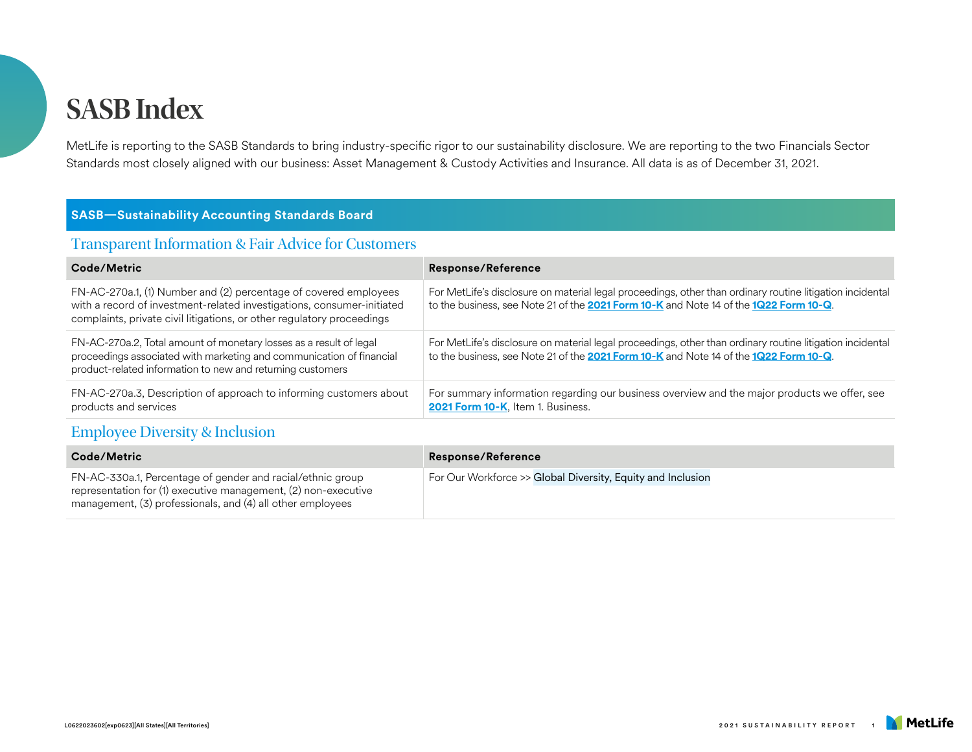MetLife is reporting to the SASB Standards to bring industry-specific rigor to our sustainability disclosure. We are reporting to the two Financials Sector Standards most closely aligned with our business: Asset Management & Custody Activities and Insurance. All data is as of December 31, 2021.

#### **SASB—Sustainability Accounting Standards Board**

#### Transparent Information & Fair Advice for Customers

| Code/Metric                                                                                                                                                                                                          | <b>Response/Reference</b>                                                                                                                                                                          |
|----------------------------------------------------------------------------------------------------------------------------------------------------------------------------------------------------------------------|----------------------------------------------------------------------------------------------------------------------------------------------------------------------------------------------------|
| FN-AC-270a.1, (1) Number and (2) percentage of covered employees<br>with a record of investment-related investigations, consumer-initiated<br>complaints, private civil litigations, or other regulatory proceedings | For MetLife's disclosure on material legal proceedings, other than ordinary routine litigation incidental<br>to the business, see Note 21 of the 2021 Form 10-K and Note 14 of the 1Q22 Form 10-Q. |
| FN-AC-270a.2, Total amount of monetary losses as a result of legal<br>proceedings associated with marketing and communication of financial<br>product-related information to new and returning customers             | For MetLife's disclosure on material legal proceedings, other than ordinary routine litigation incidental<br>to the business, see Note 21 of the 2021 Form 10-K and Note 14 of the 1Q22 Form 10-Q. |
| FN-AC-270a.3, Description of approach to informing customers about<br>products and services                                                                                                                          | For summary information regarding our business overview and the major products we offer, see<br>2021 Form 10-K, Item 1. Business.                                                                  |

#### Employee Diversity & Inclusion

| Code/Metric                                                                                                                                                                                | <b>Response/Reference</b>                                   |
|--------------------------------------------------------------------------------------------------------------------------------------------------------------------------------------------|-------------------------------------------------------------|
| FN-AC-330a.1, Percentage of gender and racial/ethnic group<br>representation for (1) executive management, (2) non-executive<br>management, (3) professionals, and (4) all other employees | For Our Workforce >> Global Diversity, Equity and Inclusion |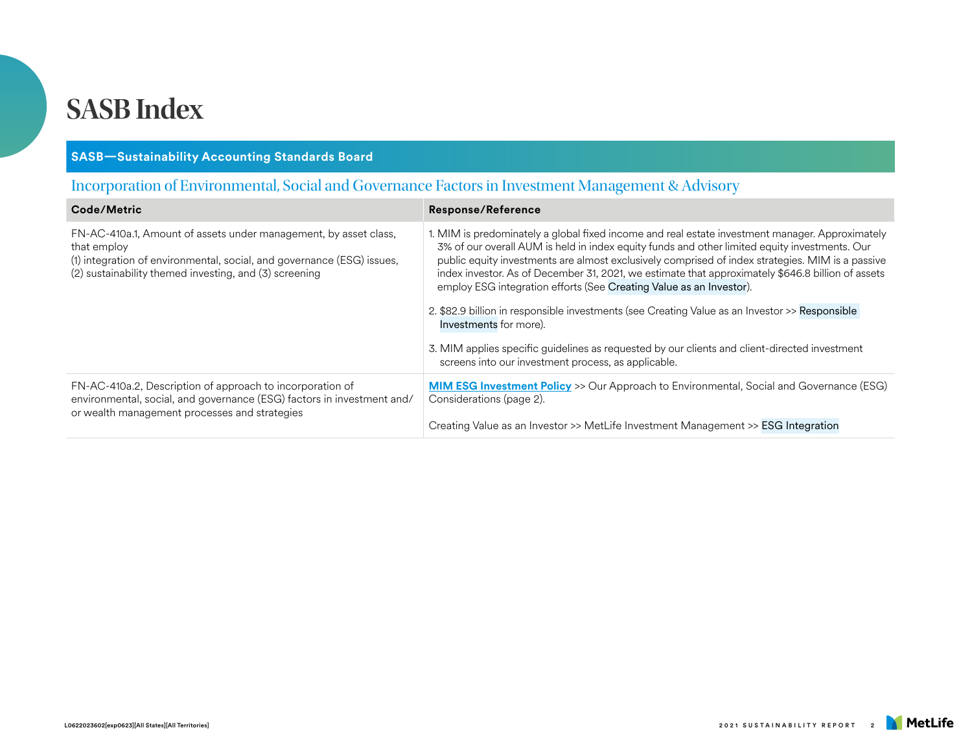#### **SASB—Sustainability Accounting Standards Board**

### Incorporation of Environmental, Social and Governance Factors in Investment Management & Advisory

| Code/Metric                                                                                                                                                                                                         | <b>Response/Reference</b>                                                                                                                                                                                                                                                                                                                                                                                                                                                        |
|---------------------------------------------------------------------------------------------------------------------------------------------------------------------------------------------------------------------|----------------------------------------------------------------------------------------------------------------------------------------------------------------------------------------------------------------------------------------------------------------------------------------------------------------------------------------------------------------------------------------------------------------------------------------------------------------------------------|
| FN-AC-410a.1, Amount of assets under management, by asset class,<br>that employ<br>(1) integration of environmental, social, and governance (ESG) issues,<br>(2) sustainability themed investing, and (3) screening | 1. MIM is predominately a global fixed income and real estate investment manager. Approximately<br>3% of our overall AUM is held in index equity funds and other limited equity investments. Our<br>public equity investments are almost exclusively comprised of index strategies. MIM is a passive<br>index investor. As of December 31, 2021, we estimate that approximately \$646.8 billion of assets<br>employ ESG integration efforts (See Creating Value as an Investor). |
|                                                                                                                                                                                                                     | 2. \$82.9 billion in responsible investments (see Creating Value as an Investor >> Responsible<br>Investments for more).                                                                                                                                                                                                                                                                                                                                                         |
|                                                                                                                                                                                                                     | 3. MIM applies specific guidelines as requested by our clients and client-directed investment<br>screens into our investment process, as applicable.                                                                                                                                                                                                                                                                                                                             |
| FN-AC-410a.2, Description of approach to incorporation of<br>environmental, social, and governance (ESG) factors in investment and/<br>or wealth management processes and strategies                                | <b>MIM ESG Investment Policy</b> >> Our Approach to Environmental, Social and Governance (ESG)<br>Considerations (page 2).                                                                                                                                                                                                                                                                                                                                                       |
|                                                                                                                                                                                                                     | Creating Value as an Investor >> MetLife Investment Management >> ESG Integration                                                                                                                                                                                                                                                                                                                                                                                                |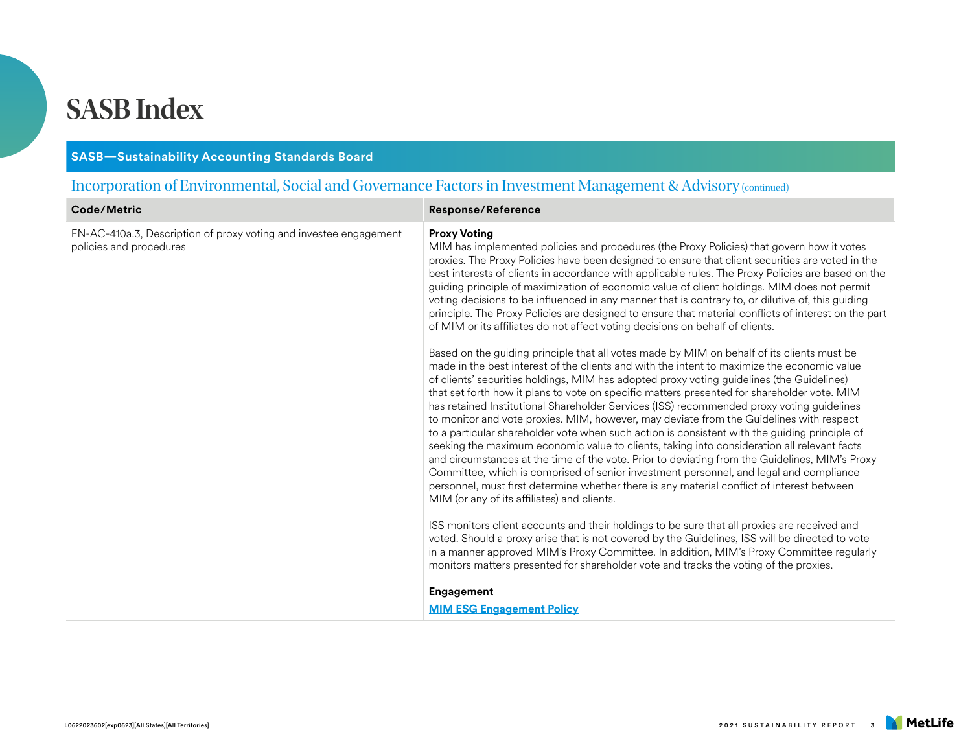#### **SASB—Sustainability Accounting Standards Board**

### Incorporation of Environmental, Social and Governance Factors in Investment Management & Advisory (continued)

| Code/Metric                                                                                  | <b>Response/Reference</b>                                                                                                                                                                                                                                                                                                                                                                                                                                                                                                                                                                                                                                                                                                                                                                                                                                                                                                                                                                                                                                                                                              |  |
|----------------------------------------------------------------------------------------------|------------------------------------------------------------------------------------------------------------------------------------------------------------------------------------------------------------------------------------------------------------------------------------------------------------------------------------------------------------------------------------------------------------------------------------------------------------------------------------------------------------------------------------------------------------------------------------------------------------------------------------------------------------------------------------------------------------------------------------------------------------------------------------------------------------------------------------------------------------------------------------------------------------------------------------------------------------------------------------------------------------------------------------------------------------------------------------------------------------------------|--|
| FN-AC-410a.3, Description of proxy voting and investee engagement<br>policies and procedures | <b>Proxy Voting</b><br>MIM has implemented policies and procedures (the Proxy Policies) that govern how it votes<br>proxies. The Proxy Policies have been designed to ensure that client securities are voted in the<br>best interests of clients in accordance with applicable rules. The Proxy Policies are based on the<br>guiding principle of maximization of economic value of client holdings. MIM does not permit<br>voting decisions to be influenced in any manner that is contrary to, or dilutive of, this guiding<br>principle. The Proxy Policies are designed to ensure that material conflicts of interest on the part<br>of MIM or its affiliates do not affect voting decisions on behalf of clients.                                                                                                                                                                                                                                                                                                                                                                                                |  |
|                                                                                              | Based on the guiding principle that all votes made by MIM on behalf of its clients must be<br>made in the best interest of the clients and with the intent to maximize the economic value<br>of clients' securities holdings, MIM has adopted proxy voting guidelines (the Guidelines)<br>that set forth how it plans to vote on specific matters presented for shareholder vote. MIM<br>has retained Institutional Shareholder Services (ISS) recommended proxy voting guidelines<br>to monitor and vote proxies. MIM, however, may deviate from the Guidelines with respect<br>to a particular shareholder vote when such action is consistent with the guiding principle of<br>seeking the maximum economic value to clients, taking into consideration all relevant facts<br>and circumstances at the time of the vote. Prior to deviating from the Guidelines, MIM's Proxy<br>Committee, which is comprised of senior investment personnel, and legal and compliance<br>personnel, must first determine whether there is any material conflict of interest between<br>MIM (or any of its affiliates) and clients. |  |
|                                                                                              | ISS monitors client accounts and their holdings to be sure that all proxies are received and<br>voted. Should a proxy arise that is not covered by the Guidelines, ISS will be directed to vote<br>in a manner approved MIM's Proxy Committee. In addition, MIM's Proxy Committee regularly<br>monitors matters presented for shareholder vote and tracks the voting of the proxies.                                                                                                                                                                                                                                                                                                                                                                                                                                                                                                                                                                                                                                                                                                                                   |  |
|                                                                                              | Engagement                                                                                                                                                                                                                                                                                                                                                                                                                                                                                                                                                                                                                                                                                                                                                                                                                                                                                                                                                                                                                                                                                                             |  |
|                                                                                              | <b>MIM ESG Engagement Policy</b>                                                                                                                                                                                                                                                                                                                                                                                                                                                                                                                                                                                                                                                                                                                                                                                                                                                                                                                                                                                                                                                                                       |  |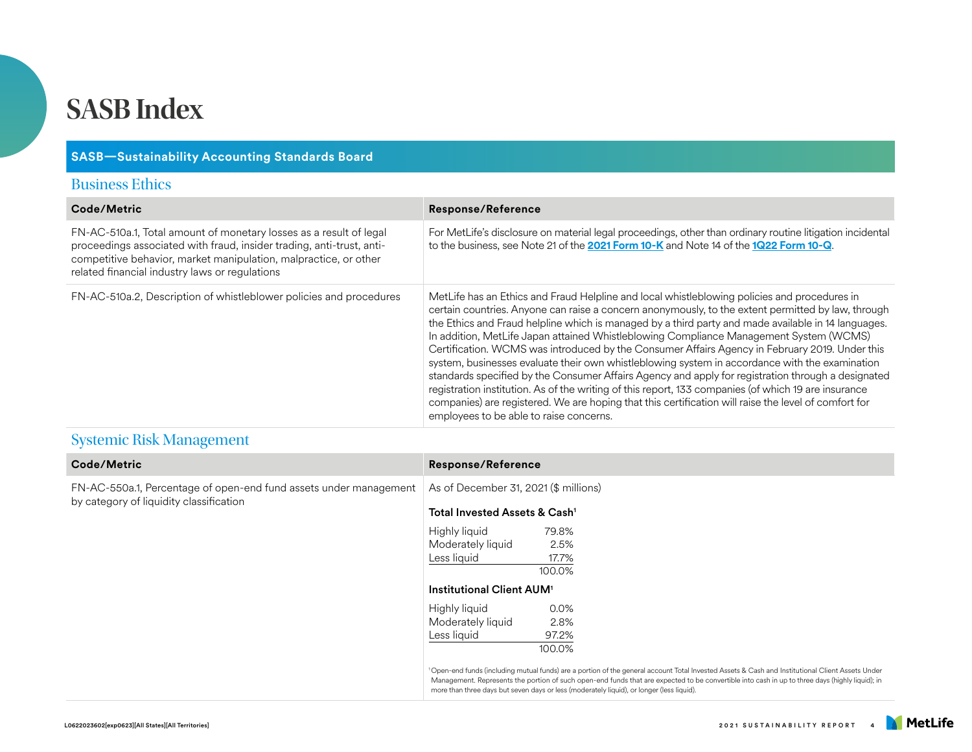#### **SASB—Sustainability Accounting Standards Board**

#### Business Ethics

| Code/Metric                                                                                                                                                                                                                                                       | <b>Response/Reference</b>                                                                                                                                                                                                                                                                                                                                                                                                                                                                                                                                                                                                                                                                                                                                                                                                                                                                                                                                                |
|-------------------------------------------------------------------------------------------------------------------------------------------------------------------------------------------------------------------------------------------------------------------|--------------------------------------------------------------------------------------------------------------------------------------------------------------------------------------------------------------------------------------------------------------------------------------------------------------------------------------------------------------------------------------------------------------------------------------------------------------------------------------------------------------------------------------------------------------------------------------------------------------------------------------------------------------------------------------------------------------------------------------------------------------------------------------------------------------------------------------------------------------------------------------------------------------------------------------------------------------------------|
| FN-AC-510a.1, Total amount of monetary losses as a result of legal<br>proceedings associated with fraud, insider trading, anti-trust, anti-<br>competitive behavior, market manipulation, malpractice, or other<br>related financial industry laws or regulations | For MetLife's disclosure on material legal proceedings, other than ordinary routine litigation incidental<br>to the business, see Note 21 of the 2021 Form 10-K and Note 14 of the 1Q22 Form 10-Q.                                                                                                                                                                                                                                                                                                                                                                                                                                                                                                                                                                                                                                                                                                                                                                       |
| FN-AC-510a.2, Description of whistleblower policies and procedures                                                                                                                                                                                                | MetLife has an Ethics and Fraud Helpline and local whistleblowing policies and procedures in<br>certain countries. Anyone can raise a concern anonymously, to the extent permitted by law, through<br>the Ethics and Fraud helpline which is managed by a third party and made available in 14 languages.<br>In addition, MetLife Japan attained Whistleblowing Compliance Management System (WCMS)<br>Certification. WCMS was introduced by the Consumer Affairs Agency in February 2019. Under this<br>system, businesses evaluate their own whistleblowing system in accordance with the examination<br>standards specified by the Consumer Affairs Agency and apply for registration through a designated<br>registration institution. As of the writing of this report, 133 companies (of which 19 are insurance<br>companies) are registered. We are hoping that this certification will raise the level of comfort for<br>employees to be able to raise concerns. |

### Systemic Risk Management

| Code/Metric                                                                                                  | <b>Response/Reference</b>                                                                                                                                                                                                                                                                                                                                                                                    |
|--------------------------------------------------------------------------------------------------------------|--------------------------------------------------------------------------------------------------------------------------------------------------------------------------------------------------------------------------------------------------------------------------------------------------------------------------------------------------------------------------------------------------------------|
| FN-AC-550a.1, Percentage of open-end fund assets under management<br>by category of liquidity classification | As of December 31, 2021 (\$ millions)                                                                                                                                                                                                                                                                                                                                                                        |
|                                                                                                              | Total Invested Assets & Cash <sup>1</sup>                                                                                                                                                                                                                                                                                                                                                                    |
|                                                                                                              | Highly liquid<br>79.8%<br>Moderately liquid<br>2.5%<br>Less liquid<br>17.7%<br>100.0%                                                                                                                                                                                                                                                                                                                        |
|                                                                                                              | Institutional Client AUM <sup>1</sup>                                                                                                                                                                                                                                                                                                                                                                        |
|                                                                                                              | Highly liquid<br>0.0%<br>Moderately liquid<br>2.8%<br>Less liquid<br>97.2%<br>100.0%                                                                                                                                                                                                                                                                                                                         |
|                                                                                                              | <sup>1</sup> Open-end funds (including mutual funds) are a portion of the general account Total Invested Assets & Cash and Institutional Client Assets Under<br>Management. Represents the portion of such open-end funds that are expected to be convertible into cash in up to three days (highly liquid); in<br>more than three days but seven days or less (moderately liquid), or longer (less liquid). |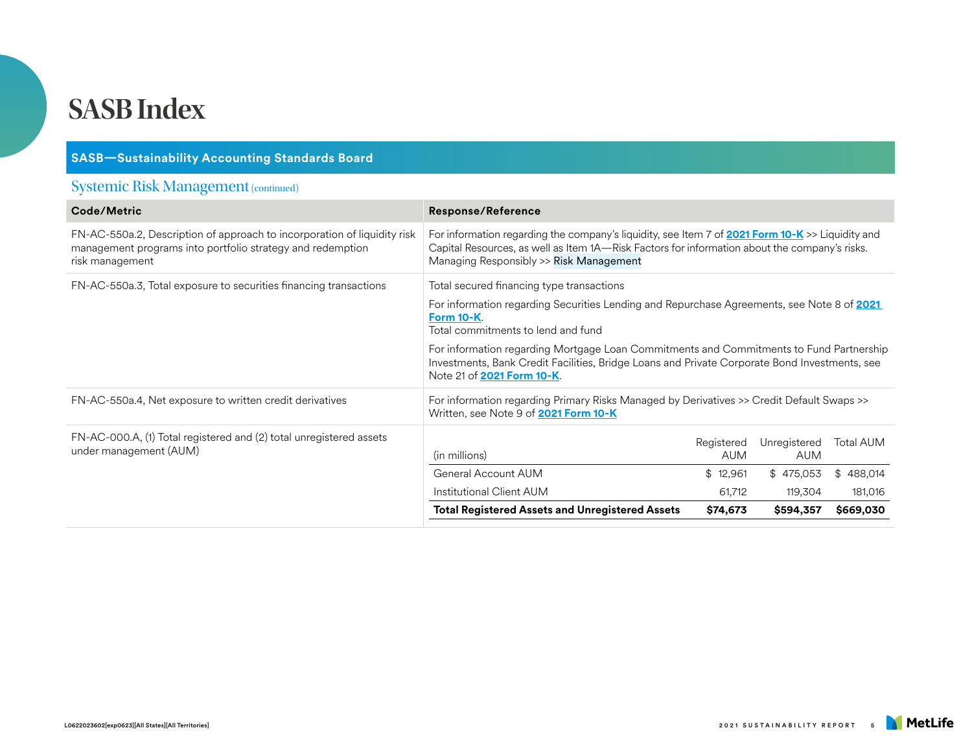| <b>SASB-Sustainability Accounting Standards Board</b>                                                                                                     |                                                                                                                                                                                                                                                                                                                                                                                                                       |                          |                            |                  |
|-----------------------------------------------------------------------------------------------------------------------------------------------------------|-----------------------------------------------------------------------------------------------------------------------------------------------------------------------------------------------------------------------------------------------------------------------------------------------------------------------------------------------------------------------------------------------------------------------|--------------------------|----------------------------|------------------|
| <b>Systemic Risk Management (continued)</b>                                                                                                               |                                                                                                                                                                                                                                                                                                                                                                                                                       |                          |                            |                  |
| Code/Metric                                                                                                                                               | <b>Response/Reference</b>                                                                                                                                                                                                                                                                                                                                                                                             |                          |                            |                  |
| FN-AC-550a.2, Description of approach to incorporation of liquidity risk<br>management programs into portfolio strategy and redemption<br>risk management | For information regarding the company's liquidity, see Item 7 of 2021 Form 10-K >> Liquidity and<br>Capital Resources, as well as Item 1A—Risk Factors for information about the company's risks.<br>Managing Responsibly >> Risk Management                                                                                                                                                                          |                          |                            |                  |
| FN-AC-550a.3, Total exposure to securities financing transactions                                                                                         | Total secured financing type transactions<br>For information regarding Securities Lending and Repurchase Agreements, see Note 8 of 2021<br>Form 10-K.<br>Total commitments to lend and fund<br>For information regarding Mortgage Loan Commitments and Commitments to Fund Partnership<br>Investments, Bank Credit Facilities, Bridge Loans and Private Corporate Bond Investments, see<br>Note 21 of 2021 Form 10-K. |                          |                            |                  |
| FN-AC-550a.4, Net exposure to written credit derivatives                                                                                                  | For information regarding Primary Risks Managed by Derivatives >> Credit Default Swaps >><br>Written, see Note 9 of <b>2021 Form 10-K</b>                                                                                                                                                                                                                                                                             |                          |                            |                  |
| FN-AC-000.A, (1) Total registered and (2) total unregistered assets<br>under management (AUM)                                                             | (in millions)                                                                                                                                                                                                                                                                                                                                                                                                         | Registered<br><b>AUM</b> | Unregistered<br><b>AUM</b> | <b>Total AUM</b> |
|                                                                                                                                                           | General Account AUM                                                                                                                                                                                                                                                                                                                                                                                                   | \$12,961                 | \$475,053                  | \$488,014        |
|                                                                                                                                                           | Institutional Client AUM                                                                                                                                                                                                                                                                                                                                                                                              | 61,712                   | 119,304                    | 181,016          |
|                                                                                                                                                           | <b>Total Registered Assets and Unregistered Assets</b>                                                                                                                                                                                                                                                                                                                                                                | \$74,673                 | \$594,357                  | \$669,030        |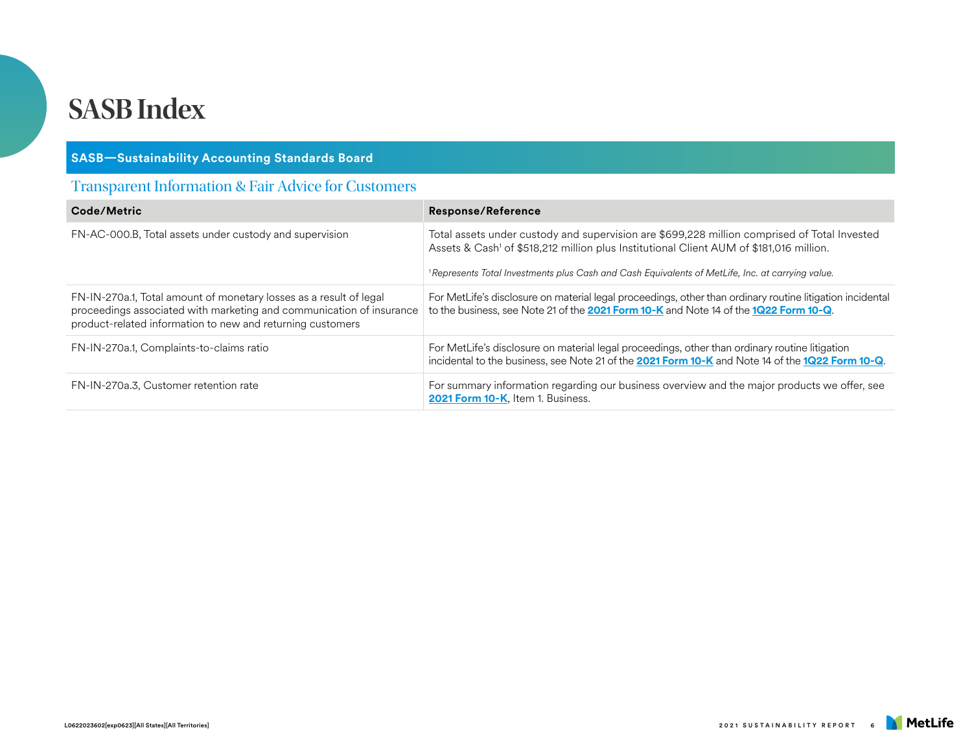#### **SASB—Sustainability Accounting Standards Board**

#### Transparent Information & Fair Advice for Customers

| Code/Metric                                                                                                                                                                                              | <b>Response/Reference</b>                                                                                                                                                                                                                                                                                           |
|----------------------------------------------------------------------------------------------------------------------------------------------------------------------------------------------------------|---------------------------------------------------------------------------------------------------------------------------------------------------------------------------------------------------------------------------------------------------------------------------------------------------------------------|
| FN-AC-000.B, Total assets under custody and supervision                                                                                                                                                  | Total assets under custody and supervision are \$699,228 million comprised of Total Invested<br>Assets & Cash <sup>1</sup> of \$518,212 million plus Institutional Client AUM of \$181,016 million.<br><sup>1</sup> Represents Total Investments plus Cash and Cash Equivalents of MetLife, Inc. at carrying value. |
| FN-IN-270a.1, Total amount of monetary losses as a result of legal<br>proceedings associated with marketing and communication of insurance<br>product-related information to new and returning customers | For MetLife's disclosure on material legal proceedings, other than ordinary routine litigation incidental<br>to the business, see Note 21 of the 2021 Form 10-K and Note 14 of the 1Q22 Form 10-Q.                                                                                                                  |
| FN-IN-270a.1, Complaints-to-claims ratio                                                                                                                                                                 | For MetLife's disclosure on material legal proceedings, other than ordinary routine litigation<br>incidental to the business, see Note 21 of the 2021 Form 10-K and Note 14 of the 1Q22 Form 10-Q.                                                                                                                  |
| FN-IN-270a.3, Customer retention rate                                                                                                                                                                    | For summary information regarding our business overview and the major products we offer, see<br>2021 Form 10-K, Item 1. Business.                                                                                                                                                                                   |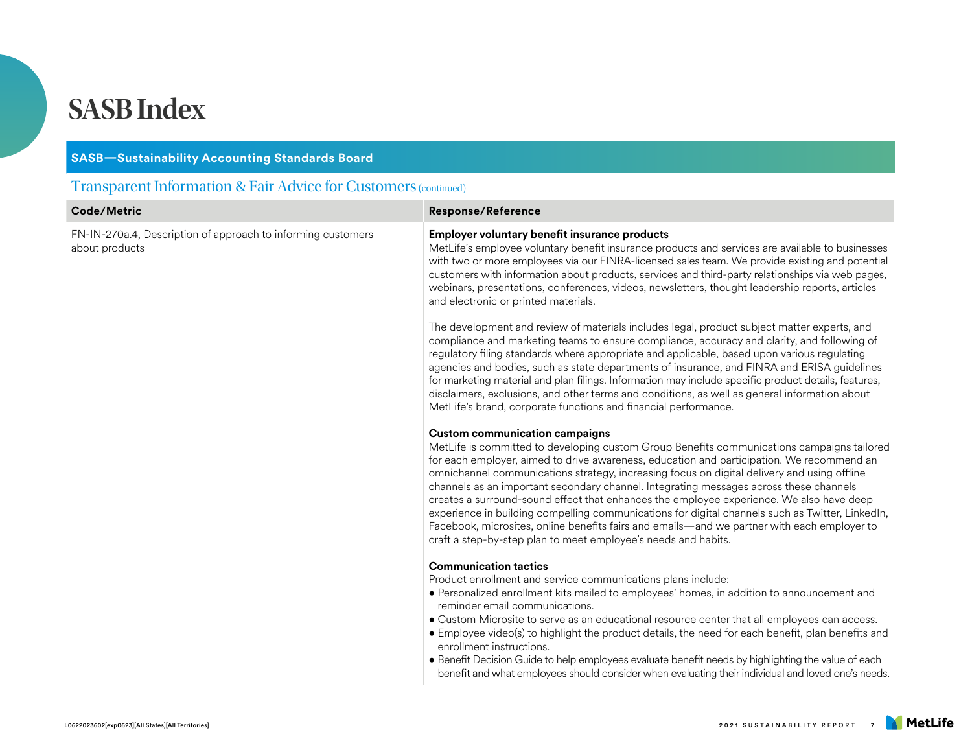#### **SASB—Sustainability Accounting Standards Board**

#### Transparent Information & Fair Advice for Customers (continued)

| Code/Metric                                                                    | <b>Response/Reference</b>                                                                                                                                                                                                                                                                                                                                                                                                                                                                                                                                                                                                                                                                                                                                                                  |
|--------------------------------------------------------------------------------|--------------------------------------------------------------------------------------------------------------------------------------------------------------------------------------------------------------------------------------------------------------------------------------------------------------------------------------------------------------------------------------------------------------------------------------------------------------------------------------------------------------------------------------------------------------------------------------------------------------------------------------------------------------------------------------------------------------------------------------------------------------------------------------------|
| FN-IN-270a.4, Description of approach to informing customers<br>about products | Employer voluntary benefit insurance products<br>MetLife's employee voluntary benefit insurance products and services are available to businesses<br>with two or more employees via our FINRA-licensed sales team. We provide existing and potential<br>customers with information about products, services and third-party relationships via web pages,<br>webinars, presentations, conferences, videos, newsletters, thought leadership reports, articles<br>and electronic or printed materials.                                                                                                                                                                                                                                                                                        |
|                                                                                | The development and review of materials includes legal, product subject matter experts, and<br>compliance and marketing teams to ensure compliance, accuracy and clarity, and following of<br>regulatory filing standards where appropriate and applicable, based upon various regulating<br>agencies and bodies, such as state departments of insurance, and FINRA and ERISA guidelines<br>for marketing material and plan filings. Information may include specific product details, features,<br>disclaimers, exclusions, and other terms and conditions, as well as general information about<br>MetLife's brand, corporate functions and financial performance.                                                                                                                       |
|                                                                                | <b>Custom communication campaigns</b><br>MetLife is committed to developing custom Group Benefits communications campaigns tailored<br>for each employer, aimed to drive awareness, education and participation. We recommend an<br>omnichannel communications strategy, increasing focus on digital delivery and using offline<br>channels as an important secondary channel. Integrating messages across these channels<br>creates a surround-sound effect that enhances the employee experience. We also have deep<br>experience in building compelling communications for digital channels such as Twitter, LinkedIn,<br>Facebook, microsites, online benefits fairs and emails—and we partner with each employer to<br>craft a step-by-step plan to meet employee's needs and habits. |
|                                                                                | <b>Communication tactics</b><br>Product enrollment and service communications plans include:<br>• Personalized enrollment kits mailed to employees' homes, in addition to announcement and<br>reminder email communications.<br>• Custom Microsite to serve as an educational resource center that all employees can access.<br>• Employee video(s) to highlight the product details, the need for each benefit, plan benefits and<br>enrollment instructions.<br>• Benefit Decision Guide to help employees evaluate benefit needs by highlighting the value of each<br>benefit and what employees should consider when evaluating their individual and loved one's needs.                                                                                                                |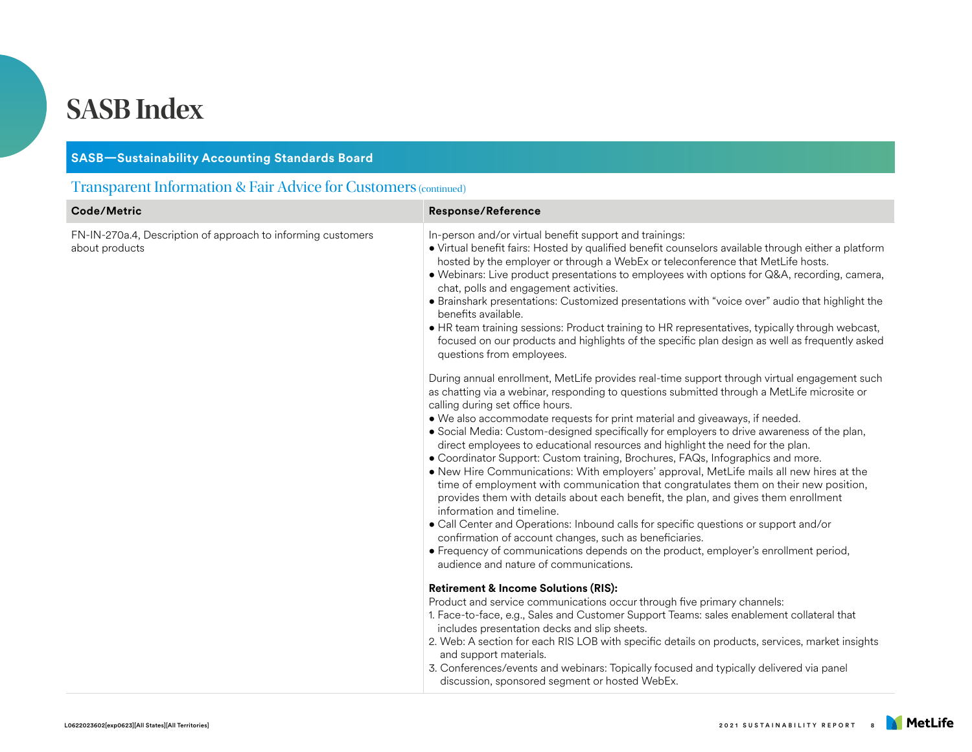#### **SASB—Sustainability Accounting Standards Board**

### Transparent Information & Fair Advice for Customers (continued)

| Code/Metric                                                                    | <b>Response/Reference</b>                                                                                                                                                                                                                                                                                                                                                                                                                                                                                                                                                                                                                                                                                                                                                                                                                                                                                                                                                                                                                                                                                                                                                                                                                                                                                                                                                                                                                                                                                                                                                                                             |
|--------------------------------------------------------------------------------|-----------------------------------------------------------------------------------------------------------------------------------------------------------------------------------------------------------------------------------------------------------------------------------------------------------------------------------------------------------------------------------------------------------------------------------------------------------------------------------------------------------------------------------------------------------------------------------------------------------------------------------------------------------------------------------------------------------------------------------------------------------------------------------------------------------------------------------------------------------------------------------------------------------------------------------------------------------------------------------------------------------------------------------------------------------------------------------------------------------------------------------------------------------------------------------------------------------------------------------------------------------------------------------------------------------------------------------------------------------------------------------------------------------------------------------------------------------------------------------------------------------------------------------------------------------------------------------------------------------------------|
| FN-IN-270a.4, Description of approach to informing customers<br>about products | In-person and/or virtual benefit support and trainings:<br>• Virtual benefit fairs: Hosted by qualified benefit counselors available through either a platform<br>hosted by the employer or through a WebEx or teleconference that MetLife hosts.<br>• Webinars: Live product presentations to employees with options for Q&A, recording, camera,<br>chat, polls and engagement activities.<br>• Brainshark presentations: Customized presentations with "voice over" audio that highlight the<br>benefits available.<br>• HR team training sessions: Product training to HR representatives, typically through webcast,<br>focused on our products and highlights of the specific plan design as well as frequently asked<br>questions from employees.<br>During annual enrollment, MetLife provides real-time support through virtual engagement such<br>as chatting via a webinar, responding to questions submitted through a MetLife microsite or<br>calling during set office hours.<br>. We also accommodate requests for print material and giveaways, if needed.<br>. Social Media: Custom-designed specifically for employers to drive awareness of the plan,<br>direct employees to educational resources and highlight the need for the plan.<br>• Coordinator Support: Custom training, Brochures, FAQs, Infographics and more.<br>. New Hire Communications: With employers' approval, MetLife mails all new hires at the<br>time of employment with communication that congratulates them on their new position,<br>provides them with details about each benefit, the plan, and gives them enrollment |
|                                                                                | information and timeline.<br>• Call Center and Operations: Inbound calls for specific questions or support and/or<br>confirmation of account changes, such as beneficiaries.<br>• Frequency of communications depends on the product, employer's enrollment period,                                                                                                                                                                                                                                                                                                                                                                                                                                                                                                                                                                                                                                                                                                                                                                                                                                                                                                                                                                                                                                                                                                                                                                                                                                                                                                                                                   |
|                                                                                | audience and nature of communications.                                                                                                                                                                                                                                                                                                                                                                                                                                                                                                                                                                                                                                                                                                                                                                                                                                                                                                                                                                                                                                                                                                                                                                                                                                                                                                                                                                                                                                                                                                                                                                                |
|                                                                                | <b>Retirement &amp; Income Solutions (RIS):</b><br>Product and service communications occur through five primary channels:<br>1. Face-to-face, e.g., Sales and Customer Support Teams: sales enablement collateral that<br>includes presentation decks and slip sheets.<br>2. Web: A section for each RIS LOB with specific details on products, services, market insights<br>and support materials.<br>3. Conferences/events and webinars: Topically focused and typically delivered via panel<br>discussion, sponsored segment or hosted WebEx.                                                                                                                                                                                                                                                                                                                                                                                                                                                                                                                                                                                                                                                                                                                                                                                                                                                                                                                                                                                                                                                                     |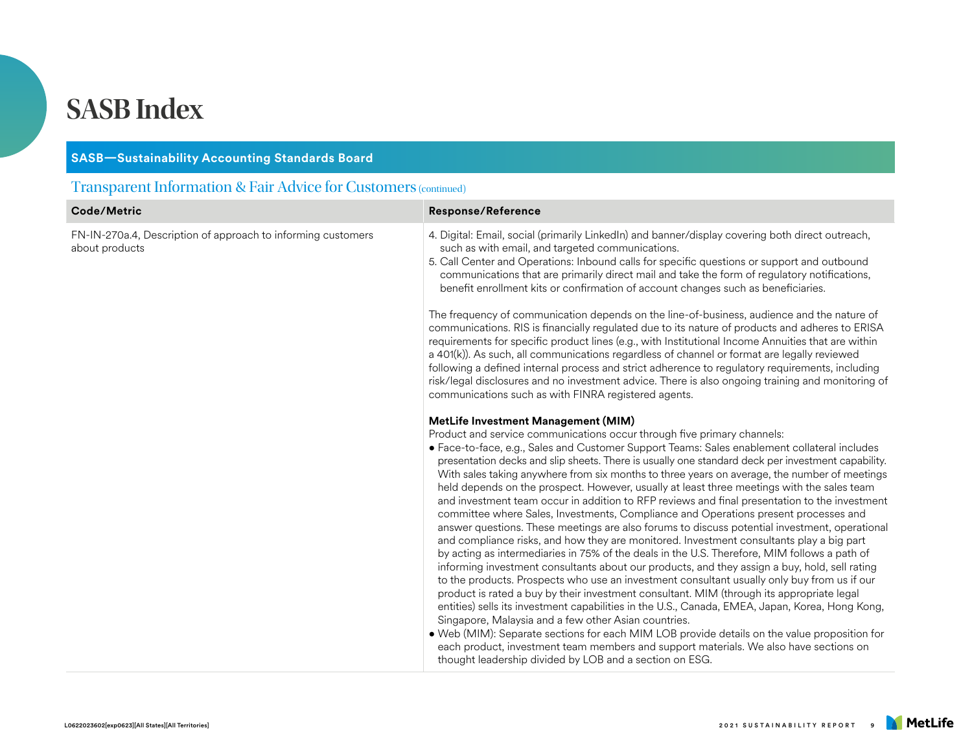#### **SASB—Sustainability Accounting Standards Board**

#### Transparent Information & Fair Advice for Customers (continued)

| Code/Metric                                                                    | <b>Response/Reference</b>                                                                                                                                                                                                                                                                                                                                                                                                                                                                                                                                                                                                                                                                                                                                                                                                                                                                                                                                                                                                                                                                                                                                                                                                                                                                                                                                                                                                                                                                                                                                                                                        |
|--------------------------------------------------------------------------------|------------------------------------------------------------------------------------------------------------------------------------------------------------------------------------------------------------------------------------------------------------------------------------------------------------------------------------------------------------------------------------------------------------------------------------------------------------------------------------------------------------------------------------------------------------------------------------------------------------------------------------------------------------------------------------------------------------------------------------------------------------------------------------------------------------------------------------------------------------------------------------------------------------------------------------------------------------------------------------------------------------------------------------------------------------------------------------------------------------------------------------------------------------------------------------------------------------------------------------------------------------------------------------------------------------------------------------------------------------------------------------------------------------------------------------------------------------------------------------------------------------------------------------------------------------------------------------------------------------------|
| FN-IN-270a.4, Description of approach to informing customers<br>about products | 4. Digital: Email, social (primarily LinkedIn) and banner/display covering both direct outreach,<br>such as with email, and targeted communications.<br>5. Call Center and Operations: Inbound calls for specific questions or support and outbound<br>communications that are primarily direct mail and take the form of regulatory notifications,<br>benefit enrollment kits or confirmation of account changes such as beneficiaries.<br>The frequency of communication depends on the line-of-business, audience and the nature of<br>communications. RIS is financially regulated due to its nature of products and adheres to ERISA<br>requirements for specific product lines (e.g., with Institutional Income Annuities that are within<br>a 401(k)). As such, all communications regardless of channel or format are legally reviewed<br>following a defined internal process and strict adherence to regulatory requirements, including<br>risk/legal disclosures and no investment advice. There is also ongoing training and monitoring of                                                                                                                                                                                                                                                                                                                                                                                                                                                                                                                                                           |
|                                                                                | communications such as with FINRA registered agents.<br>MetLife Investment Management (MIM)                                                                                                                                                                                                                                                                                                                                                                                                                                                                                                                                                                                                                                                                                                                                                                                                                                                                                                                                                                                                                                                                                                                                                                                                                                                                                                                                                                                                                                                                                                                      |
|                                                                                | Product and service communications occur through five primary channels:<br>• Face-to-face, e.g., Sales and Customer Support Teams: Sales enablement collateral includes<br>presentation decks and slip sheets. There is usually one standard deck per investment capability.<br>With sales taking anywhere from six months to three years on average, the number of meetings<br>held depends on the prospect. However, usually at least three meetings with the sales team<br>and investment team occur in addition to RFP reviews and final presentation to the investment<br>committee where Sales, Investments, Compliance and Operations present processes and<br>answer questions. These meetings are also forums to discuss potential investment, operational<br>and compliance risks, and how they are monitored. Investment consultants play a big part<br>by acting as intermediaries in 75% of the deals in the U.S. Therefore, MIM follows a path of<br>informing investment consultants about our products, and they assign a buy, hold, sell rating<br>to the products. Prospects who use an investment consultant usually only buy from us if our<br>product is rated a buy by their investment consultant. MIM (through its appropriate legal<br>entities) sells its investment capabilities in the U.S., Canada, EMEA, Japan, Korea, Hong Kong,<br>Singapore, Malaysia and a few other Asian countries.<br>. Web (MIM): Separate sections for each MIM LOB provide details on the value proposition for<br>each product, investment team members and support materials. We also have sections on |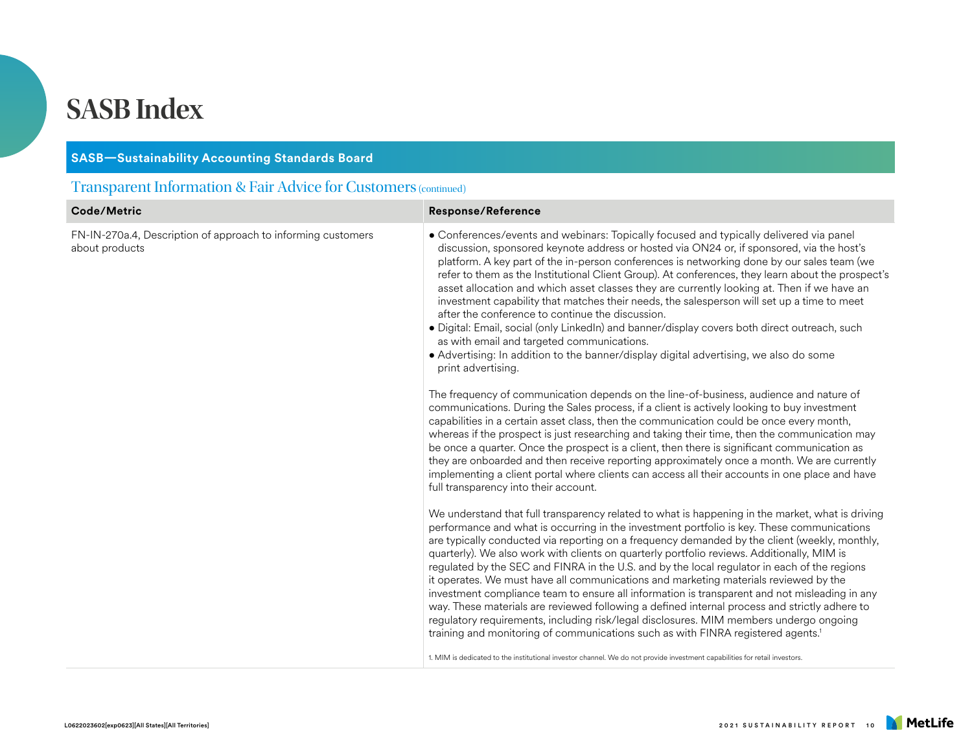| <b>SASB-Sustainability Accounting Standards Board</b>                          |                                                                                                                                                                                                                                                                                                                                                                                                                                                                                                                                                                                                                                                                                                                                                                                                                                                                                                                                                                                                                                                                                                                                                                                                                                                                                                                                                                                                                                                                                                                                                                                                                                                                                                                                                                                                                                                                                                                                                                                                                                                                                                                                                                                                                                                                                                                                                                                                                                                                                                                                                                                                                                                                                                                                                        |  |
|--------------------------------------------------------------------------------|--------------------------------------------------------------------------------------------------------------------------------------------------------------------------------------------------------------------------------------------------------------------------------------------------------------------------------------------------------------------------------------------------------------------------------------------------------------------------------------------------------------------------------------------------------------------------------------------------------------------------------------------------------------------------------------------------------------------------------------------------------------------------------------------------------------------------------------------------------------------------------------------------------------------------------------------------------------------------------------------------------------------------------------------------------------------------------------------------------------------------------------------------------------------------------------------------------------------------------------------------------------------------------------------------------------------------------------------------------------------------------------------------------------------------------------------------------------------------------------------------------------------------------------------------------------------------------------------------------------------------------------------------------------------------------------------------------------------------------------------------------------------------------------------------------------------------------------------------------------------------------------------------------------------------------------------------------------------------------------------------------------------------------------------------------------------------------------------------------------------------------------------------------------------------------------------------------------------------------------------------------------------------------------------------------------------------------------------------------------------------------------------------------------------------------------------------------------------------------------------------------------------------------------------------------------------------------------------------------------------------------------------------------------------------------------------------------------------------------------------------------|--|
| <b>Transparent Information &amp; Fair Advice for Customers (continued)</b>     |                                                                                                                                                                                                                                                                                                                                                                                                                                                                                                                                                                                                                                                                                                                                                                                                                                                                                                                                                                                                                                                                                                                                                                                                                                                                                                                                                                                                                                                                                                                                                                                                                                                                                                                                                                                                                                                                                                                                                                                                                                                                                                                                                                                                                                                                                                                                                                                                                                                                                                                                                                                                                                                                                                                                                        |  |
| Code/Metric                                                                    | <b>Response/Reference</b>                                                                                                                                                                                                                                                                                                                                                                                                                                                                                                                                                                                                                                                                                                                                                                                                                                                                                                                                                                                                                                                                                                                                                                                                                                                                                                                                                                                                                                                                                                                                                                                                                                                                                                                                                                                                                                                                                                                                                                                                                                                                                                                                                                                                                                                                                                                                                                                                                                                                                                                                                                                                                                                                                                                              |  |
| FN-IN-270a.4, Description of approach to informing customers<br>about products | • Conferences/events and webinars: Topically focused and typically delivered via panel<br>discussion, sponsored keynote address or hosted via ON24 or, if sponsored, via the host's<br>platform. A key part of the in-person conferences is networking done by our sales team (we<br>refer to them as the Institutional Client Group). At conferences, they learn about the prospect's<br>asset allocation and which asset classes they are currently looking at. Then if we have an<br>investment capability that matches their needs, the salesperson will set up a time to meet<br>after the conference to continue the discussion.<br>· Digital: Email, social (only LinkedIn) and banner/display covers both direct outreach, such<br>as with email and targeted communications.<br>• Advertising: In addition to the banner/display digital advertising, we also do some<br>print advertising.<br>The frequency of communication depends on the line-of-business, audience and nature of<br>communications. During the Sales process, if a client is actively looking to buy investment<br>capabilities in a certain asset class, then the communication could be once every month,<br>whereas if the prospect is just researching and taking their time, then the communication may<br>be once a quarter. Once the prospect is a client, then there is significant communication as<br>they are onboarded and then receive reporting approximately once a month. We are currently<br>implementing a client portal where clients can access all their accounts in one place and have<br>full transparency into their account.<br>We understand that full transparency related to what is happening in the market, what is driving<br>performance and what is occurring in the investment portfolio is key. These communications<br>are typically conducted via reporting on a frequency demanded by the client (weekly, monthly,<br>quarterly). We also work with clients on quarterly portfolio reviews. Additionally, MIM is<br>regulated by the SEC and FINRA in the U.S. and by the local regulator in each of the regions<br>it operates. We must have all communications and marketing materials reviewed by the<br>investment compliance team to ensure all information is transparent and not misleading in any<br>way. These materials are reviewed following a defined internal process and strictly adhere to<br>regulatory requirements, including risk/legal disclosures. MIM members undergo ongoing<br>training and monitoring of communications such as with FINRA registered agents. <sup>1</sup><br>1. MIM is dedicated to the institutional investor channel. We do not provide investment capabilities for retail investors. |  |
|                                                                                |                                                                                                                                                                                                                                                                                                                                                                                                                                                                                                                                                                                                                                                                                                                                                                                                                                                                                                                                                                                                                                                                                                                                                                                                                                                                                                                                                                                                                                                                                                                                                                                                                                                                                                                                                                                                                                                                                                                                                                                                                                                                                                                                                                                                                                                                                                                                                                                                                                                                                                                                                                                                                                                                                                                                                        |  |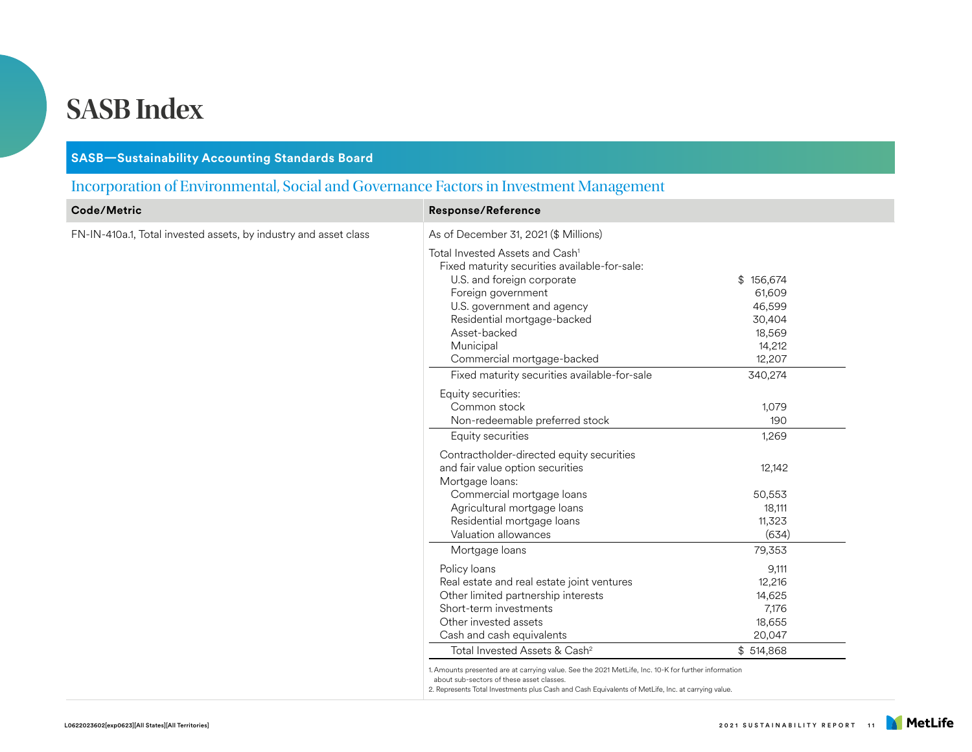#### **SASB—Sustainability Accounting Standards Board**

#### Incorporation of Environmental, Social and Governance Factors in Investment Management

| Code/Metric                                                      | <b>Response/Reference</b>                                                                                                                                                                                                                              |                                                        |
|------------------------------------------------------------------|--------------------------------------------------------------------------------------------------------------------------------------------------------------------------------------------------------------------------------------------------------|--------------------------------------------------------|
| FN-IN-410a.1, Total invested assets, by industry and asset class | As of December 31, 2021 (\$ Millions)                                                                                                                                                                                                                  |                                                        |
|                                                                  | Total Invested Assets and Cash <sup>1</sup><br>Fixed maturity securities available-for-sale:<br>U.S. and foreign corporate<br>Foreign government<br>U.S. government and agency<br>Residential mortgage-backed                                          | \$156,674<br>61,609<br>46,599<br>30,404                |
|                                                                  | Asset-backed<br>Municipal<br>Commercial mortgage-backed                                                                                                                                                                                                | 18,569<br>14,212<br>12,207                             |
|                                                                  | Fixed maturity securities available-for-sale                                                                                                                                                                                                           | 340,274                                                |
|                                                                  | Equity securities:<br>Common stock<br>Non-redeemable preferred stock<br>Equity securities                                                                                                                                                              | 1,079<br>190<br>1,269                                  |
|                                                                  | Contractholder-directed equity securities<br>and fair value option securities<br>Mortgage loans:                                                                                                                                                       | 12,142                                                 |
|                                                                  | Commercial mortgage loans<br>Agricultural mortgage loans<br>Residential mortgage loans<br>Valuation allowances                                                                                                                                         | 50,553<br>18,111<br>11,323<br>(634)                    |
|                                                                  | Mortgage loans                                                                                                                                                                                                                                         | 79,353                                                 |
|                                                                  | Policy loans<br>Real estate and real estate joint ventures<br>Other limited partnership interests<br>Short-term investments<br>Other invested assets<br>Cash and cash equivalents                                                                      | 9,111<br>12,216<br>14,625<br>7,176<br>18,655<br>20,047 |
|                                                                  | Total Invested Assets & Cash <sup>2</sup>                                                                                                                                                                                                              | \$514,868                                              |
|                                                                  | 1. Amounts presented are at carrying value. See the 2021 MetLife, Inc. 10-K for further information<br>about sub-sectors of these asset classes.<br>2. Represents Total Investments plus Cash and Cash Equivalents of MetLife, Inc. at carrying value. |                                                        |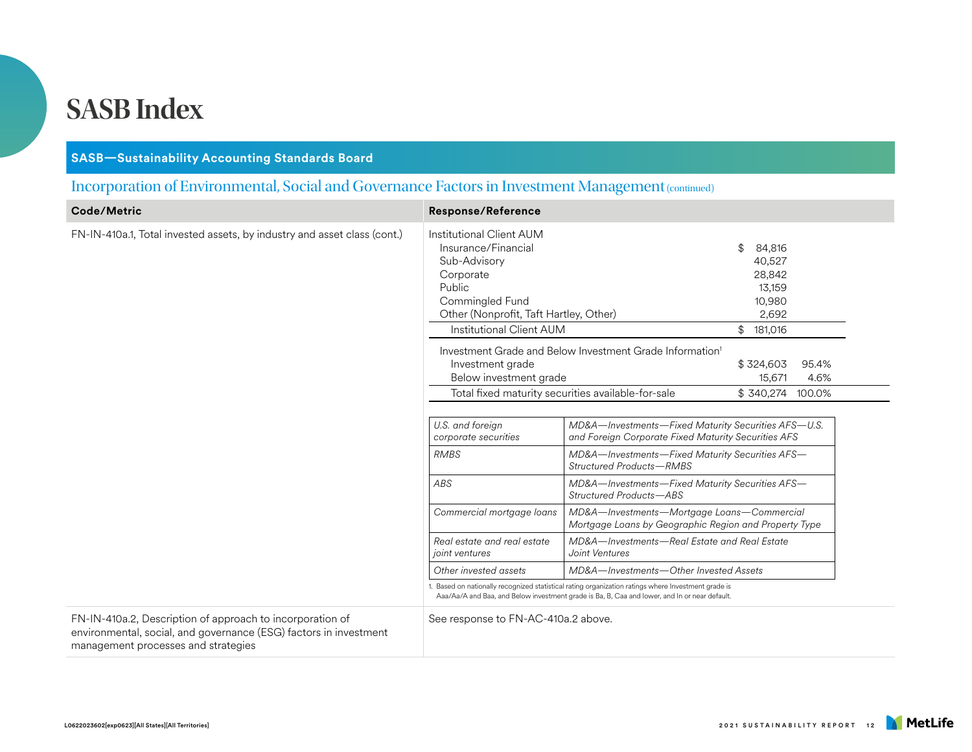#### **SASB—Sustainability Accounting Standards Board**

#### Incorporation of Environmental, Social and Governance Factors in Investment Management (continued)

| Code/Metric                                                                                                                                                           | <b>Response/Reference</b>                                                                                                                                                       |                                                                                                                                                                                                      |                                                                                         |               |
|-----------------------------------------------------------------------------------------------------------------------------------------------------------------------|---------------------------------------------------------------------------------------------------------------------------------------------------------------------------------|------------------------------------------------------------------------------------------------------------------------------------------------------------------------------------------------------|-----------------------------------------------------------------------------------------|---------------|
| FN-IN-410a.1, Total invested assets, by industry and asset class (cont.)                                                                                              | Institutional Client AUM<br>Insurance/Financial<br>Sub-Advisory<br>Corporate<br>Public<br>Commingled Fund<br>Other (Nonprofit, Taft Hartley, Other)<br>Institutional Client AUM |                                                                                                                                                                                                      | \$<br>84,816<br>40,527<br>28,842<br>13,159<br>10,980<br>2,692<br>$$^{\circ}$<br>181,016 |               |
|                                                                                                                                                                       | Investment grade<br>Below investment grade<br>Total fixed maturity securities available-for-sale                                                                                | Investment Grade and Below Investment Grade Information <sup>1</sup>                                                                                                                                 | \$324,603<br>15,671<br>\$340,274 100.0%                                                 | 95.4%<br>4.6% |
|                                                                                                                                                                       | U.S. and foreign<br>corporate securities                                                                                                                                        | MD&A-Investments-Fixed Maturity Securities AFS-U.S.<br>and Foreign Corporate Fixed Maturity Securities AFS                                                                                           |                                                                                         |               |
|                                                                                                                                                                       | <b>RMBS</b>                                                                                                                                                                     | MD&A-Investments-Fixed Maturity Securities AFS-<br><b>Structured Products-RMBS</b>                                                                                                                   |                                                                                         |               |
|                                                                                                                                                                       | ABS                                                                                                                                                                             | MD&A-Investments-Fixed Maturity Securities AFS-<br>Structured Products-ABS                                                                                                                           |                                                                                         |               |
|                                                                                                                                                                       | Commercial mortgage loans                                                                                                                                                       | MD&A-Investments-Mortgage Loans-Commercial<br>Mortgage Loans by Geographic Region and Property Type                                                                                                  |                                                                                         |               |
|                                                                                                                                                                       | Real estate and real estate<br><i>ioint</i> ventures                                                                                                                            | MD&A-Investments-Real Estate and Real Estate<br>Joint Ventures                                                                                                                                       |                                                                                         |               |
|                                                                                                                                                                       | Other invested assets                                                                                                                                                           | MD&A-Investments-Other Invested Assets                                                                                                                                                               |                                                                                         |               |
|                                                                                                                                                                       |                                                                                                                                                                                 | 1. Based on nationally recognized statistical rating organization ratings where Investment grade is<br>Aaa/Aa/A and Baa, and Below investment grade is Ba, B, Caa and lower, and In or near default. |                                                                                         |               |
| FN-IN-410a.2, Description of approach to incorporation of<br>environmental, social, and governance (ESG) factors in investment<br>management processes and strategies | See response to FN-AC-410a.2 above.                                                                                                                                             |                                                                                                                                                                                                      |                                                                                         |               |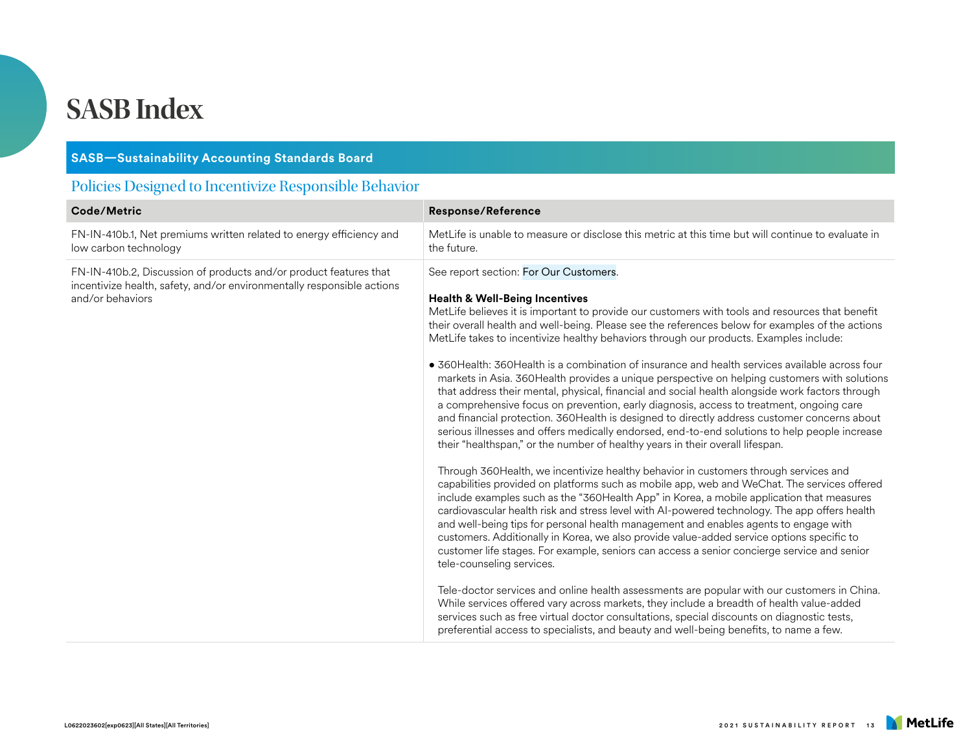#### **SASB—Sustainability Accounting Standards Board**

#### Policies Designed to Incentivize Responsible Behavior

| Code/Metric                                                                                                                                                     | <b>Response/Reference</b>                                                                                                                                                                                                                                                                                                                                                                                                                                                                                                                                                                                                                                                                                                                                                                                                                                                                                                                                                                                                                                                                                                                                                                                                                                                                                                                                                                                                                                                                                                                                                                                                                                                                                                                                                                                                                                                                                                                                                                                                                                                                                                                                         |
|-----------------------------------------------------------------------------------------------------------------------------------------------------------------|-------------------------------------------------------------------------------------------------------------------------------------------------------------------------------------------------------------------------------------------------------------------------------------------------------------------------------------------------------------------------------------------------------------------------------------------------------------------------------------------------------------------------------------------------------------------------------------------------------------------------------------------------------------------------------------------------------------------------------------------------------------------------------------------------------------------------------------------------------------------------------------------------------------------------------------------------------------------------------------------------------------------------------------------------------------------------------------------------------------------------------------------------------------------------------------------------------------------------------------------------------------------------------------------------------------------------------------------------------------------------------------------------------------------------------------------------------------------------------------------------------------------------------------------------------------------------------------------------------------------------------------------------------------------------------------------------------------------------------------------------------------------------------------------------------------------------------------------------------------------------------------------------------------------------------------------------------------------------------------------------------------------------------------------------------------------------------------------------------------------------------------------------------------------|
| FN-IN-410b.1, Net premiums written related to energy efficiency and<br>low carbon technology                                                                    | MetLife is unable to measure or disclose this metric at this time but will continue to evaluate in<br>the future.                                                                                                                                                                                                                                                                                                                                                                                                                                                                                                                                                                                                                                                                                                                                                                                                                                                                                                                                                                                                                                                                                                                                                                                                                                                                                                                                                                                                                                                                                                                                                                                                                                                                                                                                                                                                                                                                                                                                                                                                                                                 |
| FN-IN-410b.2, Discussion of products and/or product features that<br>incentivize health, safety, and/or environmentally responsible actions<br>and/or behaviors | See report section: For Our Customers.<br><b>Health &amp; Well-Being Incentives</b><br>MetLife believes it is important to provide our customers with tools and resources that benefit<br>their overall health and well-being. Please see the references below for examples of the actions<br>MetLife takes to incentivize healthy behaviors through our products. Examples include:<br>• 360 Health: 360 Health is a combination of insurance and health services available across four<br>markets in Asia. 360Health provides a unique perspective on helping customers with solutions<br>that address their mental, physical, financial and social health alongside work factors through<br>a comprehensive focus on prevention, early diagnosis, access to treatment, ongoing care<br>and financial protection. 360Health is designed to directly address customer concerns about<br>serious illnesses and offers medically endorsed, end-to-end solutions to help people increase<br>their "healthspan," or the number of healthy years in their overall lifespan.<br>Through 360Health, we incentivize healthy behavior in customers through services and<br>capabilities provided on platforms such as mobile app, web and WeChat. The services offered<br>include examples such as the "360 Health App" in Korea, a mobile application that measures<br>cardiovascular health risk and stress level with AI-powered technology. The app offers health<br>and well-being tips for personal health management and enables agents to engage with<br>customers. Additionally in Korea, we also provide value-added service options specific to<br>customer life stages. For example, seniors can access a senior concierge service and senior<br>tele-counseling services.<br>Tele-doctor services and online health assessments are popular with our customers in China.<br>While services offered vary across markets, they include a breadth of health value-added<br>services such as free virtual doctor consultations, special discounts on diagnostic tests,<br>preferential access to specialists, and beauty and well-being benefits, to name a few. |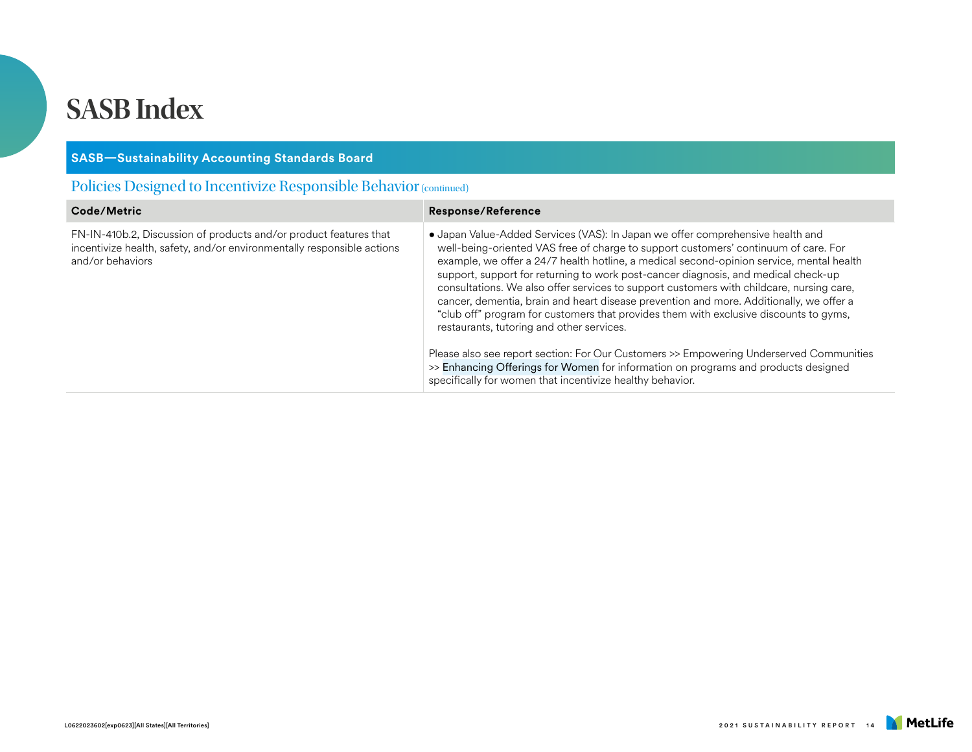| <b>SASB-Sustainability Accounting Standards Board</b>                                                                                                           |                                                                                                                                                                                                                                                                                                                                                                                                                                                                                                                                                                                                                                                                                                                                                                                                                                                                                                                                    |  |
|-----------------------------------------------------------------------------------------------------------------------------------------------------------------|------------------------------------------------------------------------------------------------------------------------------------------------------------------------------------------------------------------------------------------------------------------------------------------------------------------------------------------------------------------------------------------------------------------------------------------------------------------------------------------------------------------------------------------------------------------------------------------------------------------------------------------------------------------------------------------------------------------------------------------------------------------------------------------------------------------------------------------------------------------------------------------------------------------------------------|--|
| Policies Designed to Incentivize Responsible Behavior (continued)                                                                                               |                                                                                                                                                                                                                                                                                                                                                                                                                                                                                                                                                                                                                                                                                                                                                                                                                                                                                                                                    |  |
| Code/Metric                                                                                                                                                     | <b>Response/Reference</b>                                                                                                                                                                                                                                                                                                                                                                                                                                                                                                                                                                                                                                                                                                                                                                                                                                                                                                          |  |
| FN-IN-410b.2, Discussion of products and/or product features that<br>incentivize health, safety, and/or environmentally responsible actions<br>and/or behaviors | • Japan Value-Added Services (VAS): In Japan we offer comprehensive health and<br>well-being-oriented VAS free of charge to support customers' continuum of care. For<br>example, we offer a 24/7 health hotline, a medical second-opinion service, mental health<br>support, support for returning to work post-cancer diagnosis, and medical check-up<br>consultations. We also offer services to support customers with childcare, nursing care,<br>cancer, dementia, brain and heart disease prevention and more. Additionally, we offer a<br>"club off" program for customers that provides them with exclusive discounts to gyms,<br>restaurants, tutoring and other services.<br>Please also see report section: For Our Customers >> Empowering Underserved Communities<br>>> Enhancing Offerings for Women for information on programs and products designed<br>specifically for women that incentivize healthy behavior. |  |